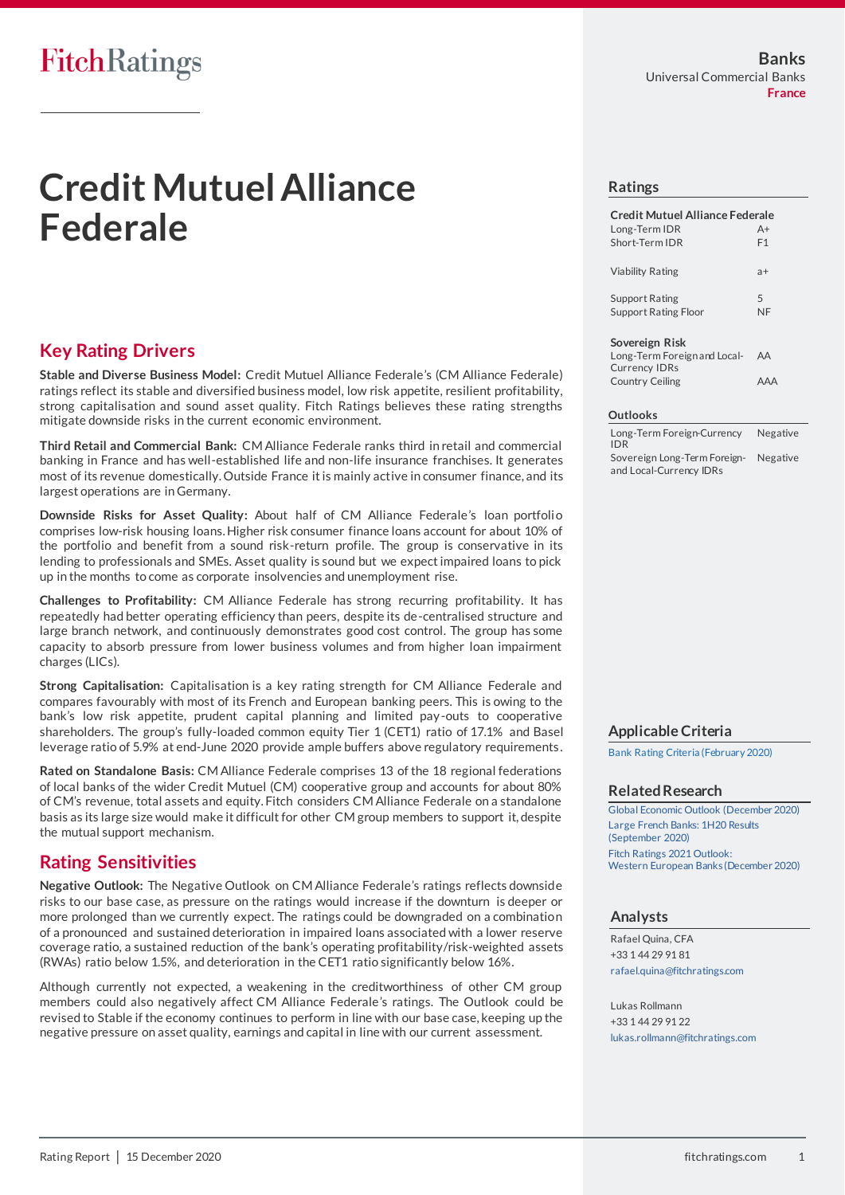# FitchRatings

# **Credit Mutuel Alliance Federale**

# **Key Rating Drivers**

**Stable and Diverse Business Model:** Credit Mutuel Alliance Federale's (CM Alliance Federale) ratings reflect its stable and diversified business model, low risk appetite, resilient profitability, strong capitalisation and sound asset quality. Fitch Ratings believes these rating strengths mitigate downside risks in the current economic environment.

**Third Retail and Commercial Bank:** CM Alliance Federale ranks third in retail and commercial banking in France and has well-established life and non-life insurance franchises. It generates most of its revenue domestically. Outside France it is mainly active in consumer finance, and its largest operations are in Germany.

**Downside Risks for Asset Quality:** About half of CM Alliance Federale's loan portfolio comprises low-risk housing loans. Higher risk consumer finance loans account for about 10% of the portfolio and benefit from a sound risk-return profile. The group is conservative in its lending to professionals and SMEs. Asset quality is sound but we expect impaired loans to pick up in the months to come as corporate insolvencies and unemployment rise.

**Challenges to Profitability:** CM Alliance Federale has strong recurring profitability. It has repeatedly had better operating efficiency than peers, despite its de-centralised structure and large branch network, and continuously demonstrates good cost control. The group has some capacity to absorb pressure from lower business volumes and from higher loan impairment charges (LICs).

**Strong Capitalisation:** Capitalisation is a key rating strength for CM Alliance Federale and compares favourably with most of its French and European banking peers. This is owing to the bank's low risk appetite, prudent capital planning and limited pay-outs to cooperative shareholders. The group's fully-loaded common equity Tier 1 (CET1) ratio of 17.1% and Basel leverage ratio of 5.9% at end-June 2020 provide ample buffers above regulatory requirements .

**Rated on Standalone Basis:** CM Alliance Federale comprises 13 of the 18 regional federations of local banks of the wider Credit Mutuel (CM) cooperative group and accounts for about 80% of CM's revenue, total assets and equity. Fitch considers CM Alliance Federale on a standalone basis as its large size would make it difficult for other CM group members to support it, despite the mutual support mechanism.

# **Rating Sensitivities**

**Negative Outlook:** The Negative Outlook on CM Alliance Federale's ratings reflects downside risks to our base case, as pressure on the ratings would increase if the downturn is deeper or more prolonged than we currently expect. The ratings could be downgraded on a combination of a pronounced and sustained deterioration in impaired loans associated with a lower reserve coverage ratio, a sustained reduction of the bank's operating profitability/risk-weighted assets (RWAs) ratio below 1.5%, and deterioration in the CET1 ratio significantly below 16%.

Although currently not expected, a weakening in the creditworthiness of other CM group members could also negatively affect CM Alliance Federale's ratings. The Outlook could be revised to Stable if the economy continues to perform in line with our base case, keeping up the negative pressure on asset quality, earnings and capital in line with our current assessment.

#### **Ratings**

| Credit Mutuel Alliance Federale |                |
|---------------------------------|----------------|
| Long-Term IDR                   | $A+$           |
| Short-Term IDR                  | F <sub>1</sub> |
| Viability Rating                | $a+$           |
| <b>Support Rating</b>           | 5              |
| <b>Support Rating Floor</b>     | NF             |
|                                 |                |

#### **Sovereign Risk**

Long-Term Foreign and Local-Currency IDRs AA Country Ceiling **AAA** 

#### **Outlooks**

Long-Term Foreign-Currency IDR Negative Sovereign Long-Term Foreignand Local-Currency IDRs Negative

## **Applicable Criteria**

[Bank Rating Criteria \(February 2020\)](https://app.fitchconnect.com/search/research/article/RPT_10110041)

#### **Related Research**

[Global Economic Outlook \(December 2020\)](https://app.fitchconnect.com/search/research/article/RPT_10145707) [Large French Banks: 1H20 Results](https://app.fitchconnect.com/search/research/article/RPT_10136897)  [\(September 2020\)](https://app.fitchconnect.com/search/research/article/RPT_10136897) [Fitch Ratings 2021 Outlook:](https://app.fitchconnect.com/search/research/article/FR_RPT_10144362)  [Western European Banks \(December 2020\)](https://app.fitchconnect.com/search/research/article/FR_RPT_10144362)

## **Analysts**

Rafael Quina, CFA +33 1 44 29 91 81 [rafael.quina@fitchratings.com](mailto:rafael.quina@fitchratings.com)

Lukas Rollmann +33 1 44 29 91 22 [lukas.rollmann@fitchratings.com](mailto:lukas.rollmann@fitchratings.com)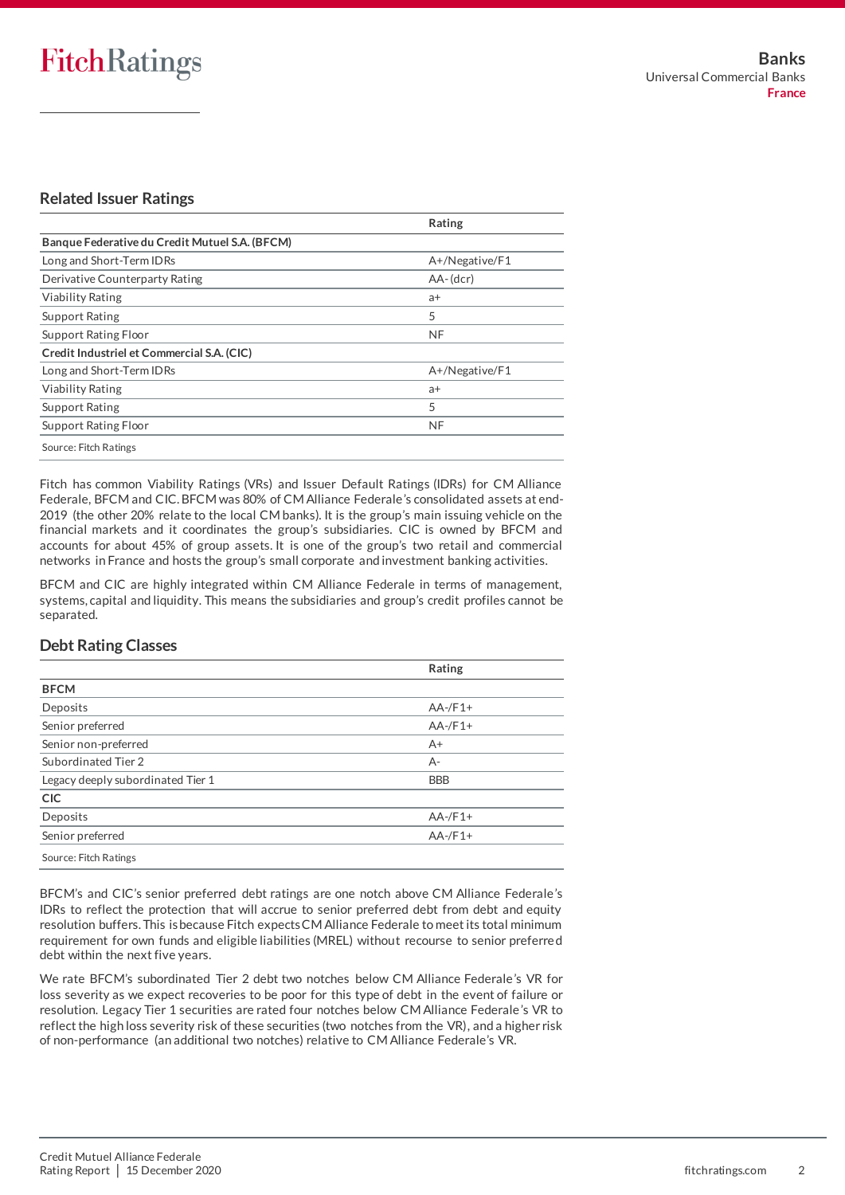# **Related Issuer Ratings**

|                                                | Rating         |
|------------------------------------------------|----------------|
| Banque Federative du Credit Mutuel S.A. (BFCM) |                |
| Long and Short-Term IDRs                       | A+/Negative/F1 |
| Derivative Counterparty Rating                 | $AA-(dcr)$     |
| <b>Viability Rating</b>                        | a+             |
| <b>Support Rating</b>                          | 5              |
| Support Rating Floor                           | <b>NF</b>      |
| Credit Industriel et Commercial S.A. (CIC)     |                |
| Long and Short-Term IDRs                       | A+/Negative/F1 |
| <b>Viability Rating</b>                        | $a+$           |
| <b>Support Rating</b>                          | 5              |
| Support Rating Floor                           | <b>NF</b>      |
| Source: Fitch Ratings                          |                |

Fitch has common Viability Ratings (VRs) and Issuer Default Ratings (IDRs) for CM Alliance Federale, BFCM and CIC. BFCM was 80% of CM Alliance Federale's consolidated assets at end-2019 (the other 20% relate to the local CM banks). It is the group's main issuing vehicle on the financial markets and it coordinates the group's subsidiaries. CIC is owned by BFCM and accounts for about 45% of group assets. It is one of the group's two retail and commercial networks in France and hosts the group's small corporate and investment banking activities.

BFCM and CIC are highly integrated within CM Alliance Federale in terms of management, systems, capital and liquidity. This means the subsidiaries and group's credit profiles cannot be separated.

# **Debt Rating Classes**

|                                   | Rating     |
|-----------------------------------|------------|
| <b>BFCM</b>                       |            |
| Deposits                          | $AA$ -/F1+ |
| Senior preferred                  | $AA$ -/F1+ |
| Senior non-preferred              | $A+$       |
| Subordinated Tier 2               | A-         |
| Legacy deeply subordinated Tier 1 | <b>BBB</b> |
| <b>CIC</b>                        |            |
| Deposits                          | $AA$ -/F1+ |
| Senior preferred                  | $AA$ -/F1+ |
| Source: Fitch Ratings             |            |

BFCM's and CIC's senior preferred debt ratings are one notch above CM Alliance Federale's IDRs to reflect the protection that will accrue to senior preferred debt from debt and equity resolution buffers. This is because Fitch expects CM Alliance Federale to meet its total minimum requirement for own funds and eligible liabilities (MREL) without recourse to senior preferre d debt within the next five years.

We rate BFCM's subordinated Tier 2 debt two notches below CM Alliance Federale's VR for loss severity as we expect recoveries to be poor for this type of debt in the event of failure or resolution. Legacy Tier 1 securities are rated four notches below CM Alliance Federale's VR to reflect the high loss severity risk of these securities (two notches from the VR), and a higher risk of non-performance (an additional two notches) relative to CM Alliance Federale's VR.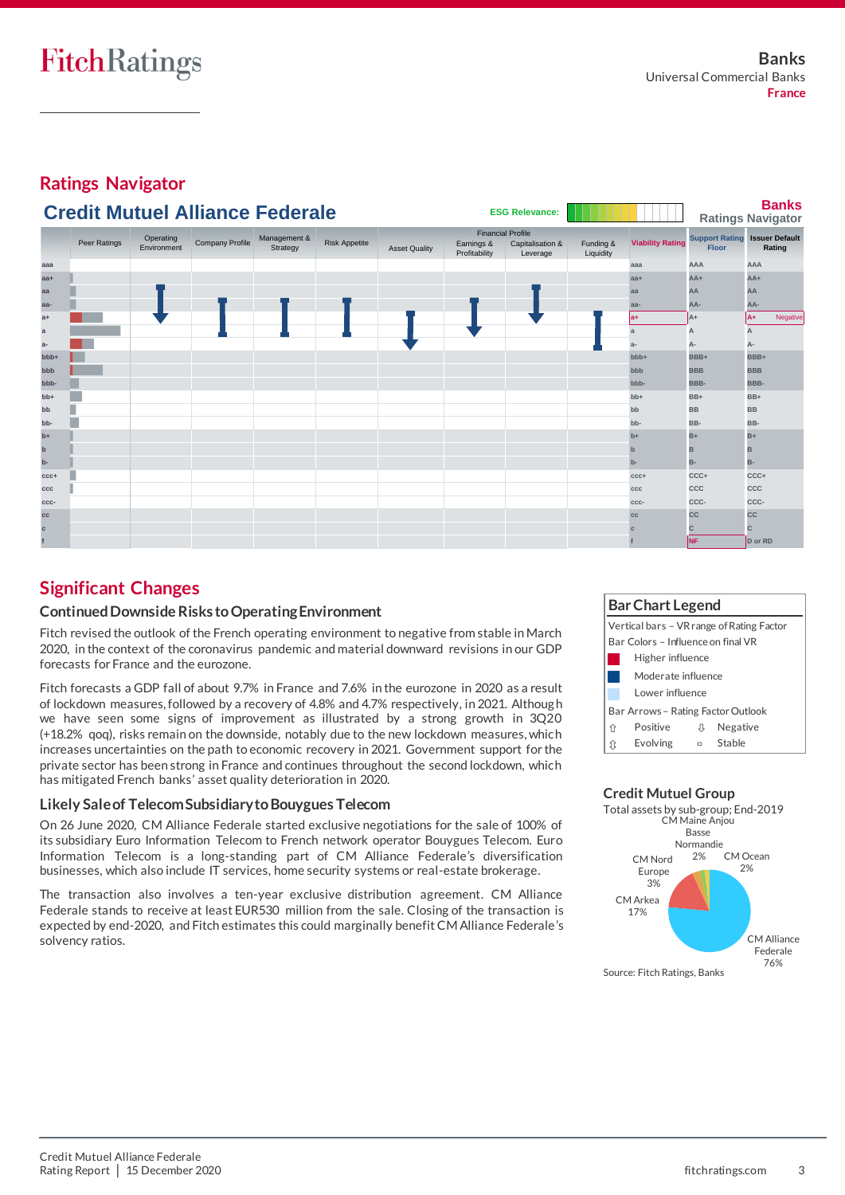**Ratings Navigator**

| ຼ<br>$\tilde{\phantom{a}}$<br><b>Banks</b> |              |                          |                                        |                          |                      |                      |                             |                                                          |                        |                         |              |                                                |
|--------------------------------------------|--------------|--------------------------|----------------------------------------|--------------------------|----------------------|----------------------|-----------------------------|----------------------------------------------------------|------------------------|-------------------------|--------------|------------------------------------------------|
|                                            |              |                          | <b>Credit Mutuel Alliance Federale</b> |                          |                      |                      |                             | <b>ESG Relevance:</b>                                    |                        |                         |              | <b>Ratings Navigator</b>                       |
|                                            | Peer Ratings | Operating<br>Environment | Company Profile                        | Management &<br>Strategy | <b>Risk Appetite</b> | <b>Asset Quality</b> | Earnings &<br>Profitability | <b>Financial Profile</b><br>Capitalisation &<br>Leverage | Funding &<br>Liquidity | <b>Viability Rating</b> | <b>Floor</b> | <b>Support Rating Issuer Default</b><br>Rating |
| aaa                                        |              |                          |                                        |                          |                      |                      |                             |                                                          |                        | aaa                     | AAA          | AAA                                            |
| $aa+$                                      |              |                          |                                        |                          |                      |                      |                             |                                                          |                        | $aa+$                   | $AA+$        | $AA+$                                          |
| aa                                         |              |                          |                                        |                          |                      |                      |                             |                                                          |                        | aa                      | AA           | AA                                             |
| aa-                                        |              |                          |                                        |                          |                      |                      |                             |                                                          |                        | aa-                     | AA-          | AA-                                            |
| $a+$                                       |              |                          |                                        |                          |                      |                      |                             |                                                          |                        | la+                     | A+           | A+<br>Negative                                 |
| a                                          |              |                          |                                        |                          |                      |                      |                             |                                                          |                        | $\mathbf{a}$            | A            | A                                              |
| $a-$                                       |              |                          |                                        |                          |                      |                      |                             |                                                          |                        | $a-$                    | А-           | А-                                             |
| bbb+                                       |              |                          |                                        |                          |                      |                      |                             |                                                          |                        | bbb+                    | BBB+         | BBB+                                           |
| bbb                                        |              |                          |                                        |                          |                      |                      |                             |                                                          |                        | bbb                     | <b>BBB</b>   | <b>BBB</b>                                     |
| bbb-                                       |              |                          |                                        |                          |                      |                      |                             |                                                          |                        | bbb-                    | BBB-         | BBB-                                           |
| $bb+$                                      |              |                          |                                        |                          |                      |                      |                             |                                                          |                        | $bb+$                   | BB+          | BB+                                            |
| bb                                         |              |                          |                                        |                          |                      |                      |                             |                                                          |                        | bb                      | <b>BB</b>    | <b>BB</b>                                      |
| bb-                                        |              |                          |                                        |                          |                      |                      |                             |                                                          |                        | bb-                     | BB-          | BB-                                            |
| $b+$                                       |              |                          |                                        |                          |                      |                      |                             |                                                          |                        | $b+$                    | $B+$         | $B+$                                           |
| $\mathbf b$                                |              |                          |                                        |                          |                      |                      |                             |                                                          |                        | $\mathbf{b}$            | в            | B                                              |
| $b-$                                       |              |                          |                                        |                          |                      |                      |                             |                                                          |                        | $b -$                   | <b>B-</b>    | B-                                             |
| $CCC +$                                    |              |                          |                                        |                          |                      |                      |                             |                                                          |                        | $CCC +$                 | CCC+         | CCC+                                           |
| ccc                                        |              |                          |                                        |                          |                      |                      |                             |                                                          |                        | ccc                     | CCC          | CCC                                            |
| ccc-                                       |              |                          |                                        |                          |                      |                      |                             |                                                          |                        | ccc-                    | CCC-         | CCC-                                           |
| cc                                         |              |                          |                                        |                          |                      |                      |                             |                                                          |                        | cc                      | <b>CC</b>    | <b>CC</b>                                      |
| $\mathbf c$                                |              |                          |                                        |                          |                      |                      |                             |                                                          |                        | $\mathbf{C}$            | C            | c                                              |
|                                            |              |                          |                                        |                          |                      |                      |                             |                                                          |                        |                         | <b>NF</b>    | D or RD                                        |

# **Significant Changes**

## **Continued Downside Risks toOperating Environment**

Fitch revised the outlook of the French operating environment to negative from stable in March 2020, in the context of the coronavirus pandemic and material downward revisions in our GDP forecasts for France and the eurozone.

Fitch forecasts a GDP fall of about 9.7% in France and 7.6% in the eurozone in 2020 as a result of lockdown measures, followed by a recovery of 4.8% and 4.7% respectively, in 2021. Althoug h we have seen some signs of improvement as illustrated by a strong growth in 3Q20 (+18.2% qoq), risks remain on the downside, notably due to the new lockdown measures, which increases uncertainties on the path to economic recovery in 2021. Government support for the private sector has been strong in France and continues throughout the second lockdown, which has mitigated French banks' asset quality deterioration in 2020.

## **Likely Sale of Telecom Subsidiary to Bouygues Telecom**

On 26 June 2020, CM Alliance Federale started exclusive negotiations for the sale of 100% of its subsidiary Euro Information Telecom to French network operator Bouygues Telecom. Euro Information Telecom is a long-standing part of CM Alliance Federale's diversification businesses, which also include IT services, home security systems or real-estate brokerage.

The transaction also involves a ten-year exclusive distribution agreement. CM Alliance Federale stands to receive at least EUR530 million from the sale. Closing of the transaction is expected by end-2020, and Fitch estimates this could marginally benefit CM Alliance Federale's solvency ratios.



**Credit Mutuel Group**

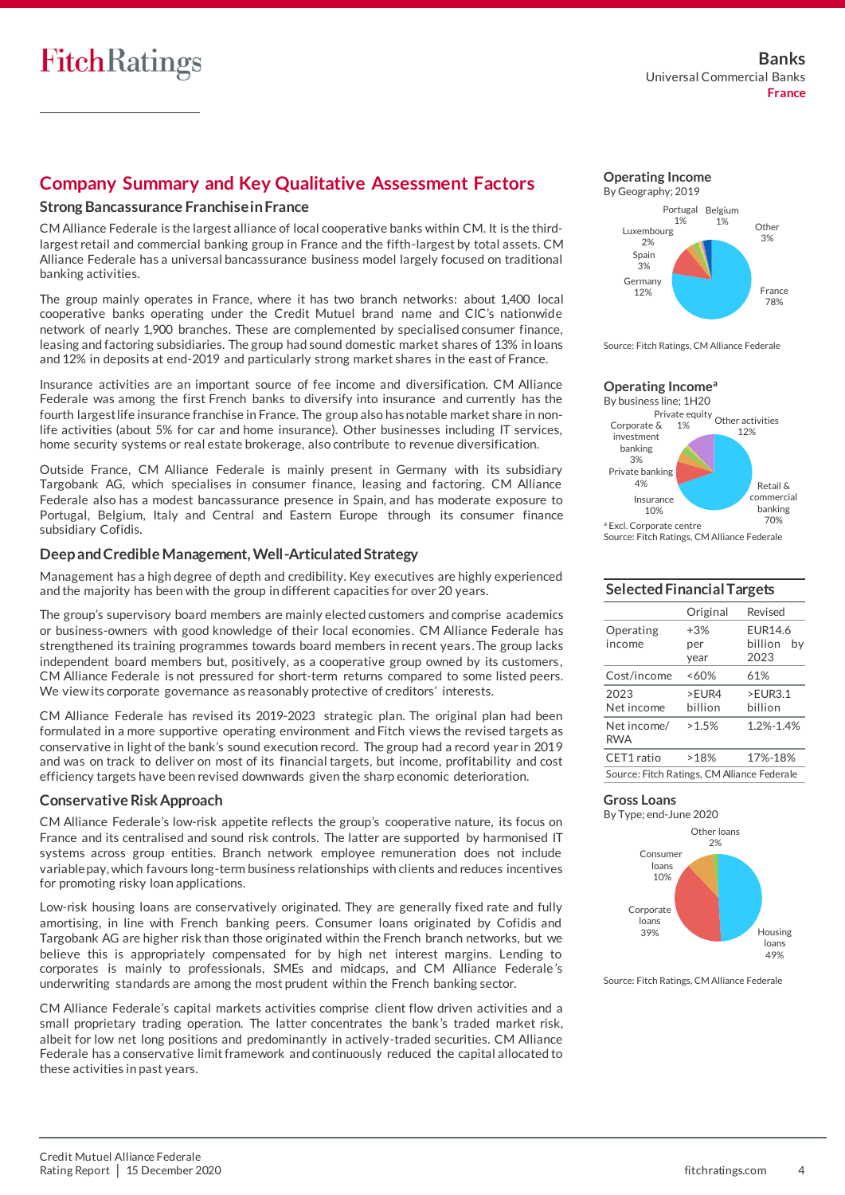# **Company Summary and Key Qualitative Assessment Factors**

#### **Strong Bancassurance Franchise in France**

CM Alliance Federale is the largest alliance of local cooperative banks within CM. It is the thirdlargest retail and commercial banking group in France and the fifth-largest by total assets. CM Alliance Federale has a universal bancassurance business model largely focused on traditional banking activities.

The group mainly operates in France, where it has two branch networks: about 1,400 local cooperative banks operating under the Credit Mutuel brand name and CIC's nationwide network of nearly 1,900 branches. These are complemented by specialised consumer finance, leasing and factoring subsidiaries. The group had sound domestic market shares of 13% in loans and 12% in deposits at end-2019 and particularly strong market shares in the east of France.

Insurance activities are an important source of fee income and diversification. CM Alliance Federale was among the first French banks to diversify into insurance and currently has the fourth largest life insurance franchise in France. The group also has notable market share in nonlife activities (about 5% for car and home insurance). Other businesses including IT services, home security systems or real estate brokerage, also contribute to revenue diversification.

Outside France, CM Alliance Federale is mainly present in Germany with its subsidiary Targobank AG, which specialises in consumer finance, leasing and factoring. CM Alliance Federale also has a modest bancassurance presence in Spain, and has moderate exposure to Portugal, Belgium, Italy and Central and Eastern Europe through its consumer finance subsidiary Cofidis.

#### **Deep and Credible Management, Well-Articulated Strategy**

Management has a high degree of depth and credibility. Key executives are highly experienced and the majority has been with the group in different capacities for over 20 years.

The group's supervisory board members are mainly elected customers and comprise academics or business-owners with good knowledge of their local economies. CM Alliance Federale has strengthened its training programmes towards board members in recent years. The group lacks independent board members but, positively, as a cooperative group owned by its customers , CM Alliance Federale is not pressured for short-term returns compared to some listed peers. We view its corporate governance as reasonably protective of creditors' interests.

CM Alliance Federale has revised its 2019-2023 strategic plan. The original plan had been formulated in a more supportive operating environment and Fitch views the revised targets as conservative in light of the bank's sound execution record. The group had a record year in 2019 and was on track to deliver on most of its financial targets, but income, profitability and cost efficiency targets have been revised downwards given the sharp economic deterioration.

#### **Conservative Risk Approach**

CM Alliance Federale's low-risk appetite reflects the group's cooperative nature, its focus on France and its centralised and sound risk controls. The latter are supported by harmonised IT systems across group entities. Branch network employee remuneration does not include variable pay, which favours long-term business relationships with clients and reduces incentives for promoting risky loan applications.

Low-risk housing loans are conservatively originated. They are generally fixed rate and fully amortising, in line with French banking peers. Consumer loans originated by Cofidis and Targobank AG are higher risk than those originated within the French branch networks, but we believe this is appropriately compensated for by high net interest margins. Lending to corporates is mainly to professionals, SMEs and midcaps, and CM Alliance Federale 's underwriting standards are among the most prudent within the French banking sector.

CM Alliance Federale's capital markets activities comprise client flow driven activities and a small proprietary trading operation. The latter concentrates the bank's traded market risk, albeit for low net long positions and predominantly in actively-traded securities. CM Alliance Federale has a conservative limit framework and continuously reduced the capital allocated to these activities in past years.





Source: Fitch Ratings, CM Alliance Federale

#### **Operating Income<sup>a</sup>**



Source: Fitch Ratings, CM Alliance Federale

#### **Selected Financial Targets**

|                                             | Original | Revised        |  |  |  |  |
|---------------------------------------------|----------|----------------|--|--|--|--|
| Operating                                   | $+3%$    | <b>FUR14.6</b> |  |  |  |  |
| income                                      | per      | billion<br>bv  |  |  |  |  |
|                                             | year     | 2023           |  |  |  |  |
| Cost/income                                 | ~160%    | 61%            |  |  |  |  |
| 2023                                        | $>$ FUR4 | >FUR3.1        |  |  |  |  |
| Net income                                  | hillion  | hillion        |  |  |  |  |
| Net income/<br><b>RWA</b>                   | >1.5%    | 1.2%-1.4%      |  |  |  |  |
| CET1 ratio                                  | >18%     | 17%-18%        |  |  |  |  |
| Source: Fitch Ratings, CM Alliance Federale |          |                |  |  |  |  |

#### **Gross Loans**



Source: Fitch Ratings, CM Alliance Federale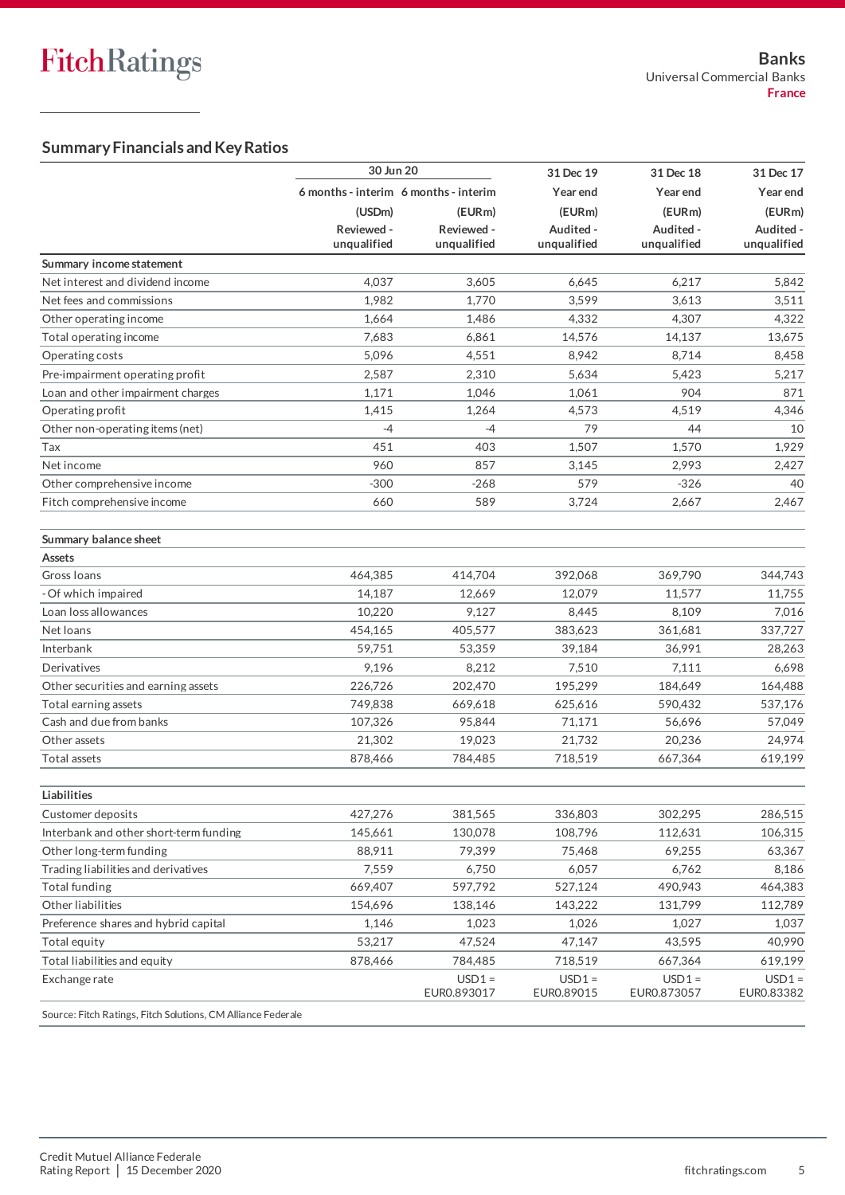# **Summary Financials and Key Ratios**

| 6 months - interim 6 months - interim<br>Year end<br>Year end<br>(USDm)<br>(EURm)<br>(EURm)<br>(EURm)<br>Reviewed -<br>Reviewed -<br>Audited -<br>Audited -<br>unqualified<br>unqualified<br>unqualified<br>unqualified<br>Summary income statement<br>4,037<br>3,605<br>6,645<br>6,217<br>Net interest and dividend income<br>Net fees and commissions<br>1,982<br>1,770<br>3,599<br>3,613<br>Other operating income<br>1,664<br>4,332<br>4,307<br>1,486<br>7,683<br>Total operating income<br>6,861<br>14,576<br>14,137<br>5,096<br>Operating costs<br>4,551<br>8,942<br>8,714<br>Pre-impairment operating profit<br>2,587<br>2,310<br>5,634<br>5,423<br>904<br>Loan and other impairment charges<br>1,171<br>1,046<br>1,061<br>Operating profit<br>1,415<br>1,264<br>4,573<br>4,519<br>79<br>44<br>Other non-operating items (net)<br>$-4$<br>$-4$<br>451<br>403<br>1,507<br>1,570<br>Tax<br>960<br>857<br>Net income<br>3,145<br>2,993<br>Other comprehensive income<br>$-300$<br>$-268$<br>579<br>$-326$<br>Fitch comprehensive income<br>589<br>660<br>3,724<br>2,667<br>Summary balance sheet<br><b>Assets</b><br>464,385<br>414,704<br>392,068<br>369,790<br>Gross Ioans<br>- Of which impaired<br>14,187<br>12,669<br>12,079<br>11,577<br>Loan loss allowances<br>10,220<br>9,127<br>8,445<br>8,109<br>383,623<br>Net loans<br>454,165<br>405,577<br>361,681<br>Interbank<br>59,751<br>53,359<br>39,184<br>36,991<br>Derivatives<br>9,196<br>8,212<br>7,510<br>7,111<br>195,299<br>Other securities and earning assets<br>226,726<br>202,470<br>184,649<br>Total earning assets<br>749,838<br>669,618<br>625,616<br>590,432<br>Cash and due from banks<br>107,326<br>95,844<br>71,171<br>56,696<br>21,732<br>20,236<br>Other assets<br>21,302<br>19,023<br>Total assets<br>878,466<br>784,485<br>718,519<br>667,364<br>Liabilities<br>427,276<br>302,295<br>381,565<br>336,803<br>Customer deposits<br>Interbank and other short-term funding<br>145,661<br>108,796<br>130,078<br>112,631<br>Other long-term funding<br>88,911<br>79,399<br>75,468<br>69,255<br>Trading liabilities and derivatives<br>7,559<br>6,750<br>6,057<br>6,762<br>597,792<br>490,943<br>Total funding<br>669,407<br>527,124<br>Other liabilities<br>131,799<br>154,696<br>138,146<br>143,222<br>Preference shares and hybrid capital<br>1,146<br>1,023<br>1,026<br>1,027<br>53,217<br>Total equity<br>47,524<br>47,147<br>43,595<br>Total liabilities and equity<br>784,485<br>878,466<br>718,519<br>667,364<br>$USD1 =$<br>$USD1 =$<br>$USD1 =$<br>Exchange rate<br>EUR0.873057<br>EUR0.893017<br>EUR0.89015<br>EUR0.83382<br>Source: Fitch Ratings, Fitch Solutions, CM Alliance Federale | 30 Jun 20 |  | 31 Dec 19 | 31 Dec 18 | 31 Dec 17   |  |
|-------------------------------------------------------------------------------------------------------------------------------------------------------------------------------------------------------------------------------------------------------------------------------------------------------------------------------------------------------------------------------------------------------------------------------------------------------------------------------------------------------------------------------------------------------------------------------------------------------------------------------------------------------------------------------------------------------------------------------------------------------------------------------------------------------------------------------------------------------------------------------------------------------------------------------------------------------------------------------------------------------------------------------------------------------------------------------------------------------------------------------------------------------------------------------------------------------------------------------------------------------------------------------------------------------------------------------------------------------------------------------------------------------------------------------------------------------------------------------------------------------------------------------------------------------------------------------------------------------------------------------------------------------------------------------------------------------------------------------------------------------------------------------------------------------------------------------------------------------------------------------------------------------------------------------------------------------------------------------------------------------------------------------------------------------------------------------------------------------------------------------------------------------------------------------------------------------------------------------------------------------------------------------------------------------------------------------------------------------------------------------------------------------------------------------------------------------------------------------------------------------------------------------------------------------------------------------------------------------------------------------------------------------------------------------|-----------|--|-----------|-----------|-------------|--|
|                                                                                                                                                                                                                                                                                                                                                                                                                                                                                                                                                                                                                                                                                                                                                                                                                                                                                                                                                                                                                                                                                                                                                                                                                                                                                                                                                                                                                                                                                                                                                                                                                                                                                                                                                                                                                                                                                                                                                                                                                                                                                                                                                                                                                                                                                                                                                                                                                                                                                                                                                                                                                                                                               |           |  |           |           | Year end    |  |
|                                                                                                                                                                                                                                                                                                                                                                                                                                                                                                                                                                                                                                                                                                                                                                                                                                                                                                                                                                                                                                                                                                                                                                                                                                                                                                                                                                                                                                                                                                                                                                                                                                                                                                                                                                                                                                                                                                                                                                                                                                                                                                                                                                                                                                                                                                                                                                                                                                                                                                                                                                                                                                                                               |           |  |           |           | (EURm)      |  |
|                                                                                                                                                                                                                                                                                                                                                                                                                                                                                                                                                                                                                                                                                                                                                                                                                                                                                                                                                                                                                                                                                                                                                                                                                                                                                                                                                                                                                                                                                                                                                                                                                                                                                                                                                                                                                                                                                                                                                                                                                                                                                                                                                                                                                                                                                                                                                                                                                                                                                                                                                                                                                                                                               |           |  |           |           | Audited -   |  |
|                                                                                                                                                                                                                                                                                                                                                                                                                                                                                                                                                                                                                                                                                                                                                                                                                                                                                                                                                                                                                                                                                                                                                                                                                                                                                                                                                                                                                                                                                                                                                                                                                                                                                                                                                                                                                                                                                                                                                                                                                                                                                                                                                                                                                                                                                                                                                                                                                                                                                                                                                                                                                                                                               |           |  |           |           | unqualified |  |
|                                                                                                                                                                                                                                                                                                                                                                                                                                                                                                                                                                                                                                                                                                                                                                                                                                                                                                                                                                                                                                                                                                                                                                                                                                                                                                                                                                                                                                                                                                                                                                                                                                                                                                                                                                                                                                                                                                                                                                                                                                                                                                                                                                                                                                                                                                                                                                                                                                                                                                                                                                                                                                                                               |           |  |           |           |             |  |
|                                                                                                                                                                                                                                                                                                                                                                                                                                                                                                                                                                                                                                                                                                                                                                                                                                                                                                                                                                                                                                                                                                                                                                                                                                                                                                                                                                                                                                                                                                                                                                                                                                                                                                                                                                                                                                                                                                                                                                                                                                                                                                                                                                                                                                                                                                                                                                                                                                                                                                                                                                                                                                                                               |           |  |           |           | 5,842       |  |
|                                                                                                                                                                                                                                                                                                                                                                                                                                                                                                                                                                                                                                                                                                                                                                                                                                                                                                                                                                                                                                                                                                                                                                                                                                                                                                                                                                                                                                                                                                                                                                                                                                                                                                                                                                                                                                                                                                                                                                                                                                                                                                                                                                                                                                                                                                                                                                                                                                                                                                                                                                                                                                                                               |           |  |           |           | 3,511       |  |
|                                                                                                                                                                                                                                                                                                                                                                                                                                                                                                                                                                                                                                                                                                                                                                                                                                                                                                                                                                                                                                                                                                                                                                                                                                                                                                                                                                                                                                                                                                                                                                                                                                                                                                                                                                                                                                                                                                                                                                                                                                                                                                                                                                                                                                                                                                                                                                                                                                                                                                                                                                                                                                                                               |           |  |           |           | 4,322       |  |
|                                                                                                                                                                                                                                                                                                                                                                                                                                                                                                                                                                                                                                                                                                                                                                                                                                                                                                                                                                                                                                                                                                                                                                                                                                                                                                                                                                                                                                                                                                                                                                                                                                                                                                                                                                                                                                                                                                                                                                                                                                                                                                                                                                                                                                                                                                                                                                                                                                                                                                                                                                                                                                                                               |           |  |           |           | 13,675      |  |
|                                                                                                                                                                                                                                                                                                                                                                                                                                                                                                                                                                                                                                                                                                                                                                                                                                                                                                                                                                                                                                                                                                                                                                                                                                                                                                                                                                                                                                                                                                                                                                                                                                                                                                                                                                                                                                                                                                                                                                                                                                                                                                                                                                                                                                                                                                                                                                                                                                                                                                                                                                                                                                                                               |           |  |           |           | 8,458       |  |
|                                                                                                                                                                                                                                                                                                                                                                                                                                                                                                                                                                                                                                                                                                                                                                                                                                                                                                                                                                                                                                                                                                                                                                                                                                                                                                                                                                                                                                                                                                                                                                                                                                                                                                                                                                                                                                                                                                                                                                                                                                                                                                                                                                                                                                                                                                                                                                                                                                                                                                                                                                                                                                                                               |           |  |           |           | 5,217       |  |
|                                                                                                                                                                                                                                                                                                                                                                                                                                                                                                                                                                                                                                                                                                                                                                                                                                                                                                                                                                                                                                                                                                                                                                                                                                                                                                                                                                                                                                                                                                                                                                                                                                                                                                                                                                                                                                                                                                                                                                                                                                                                                                                                                                                                                                                                                                                                                                                                                                                                                                                                                                                                                                                                               |           |  |           |           | 871         |  |
|                                                                                                                                                                                                                                                                                                                                                                                                                                                                                                                                                                                                                                                                                                                                                                                                                                                                                                                                                                                                                                                                                                                                                                                                                                                                                                                                                                                                                                                                                                                                                                                                                                                                                                                                                                                                                                                                                                                                                                                                                                                                                                                                                                                                                                                                                                                                                                                                                                                                                                                                                                                                                                                                               |           |  |           |           | 4,346       |  |
|                                                                                                                                                                                                                                                                                                                                                                                                                                                                                                                                                                                                                                                                                                                                                                                                                                                                                                                                                                                                                                                                                                                                                                                                                                                                                                                                                                                                                                                                                                                                                                                                                                                                                                                                                                                                                                                                                                                                                                                                                                                                                                                                                                                                                                                                                                                                                                                                                                                                                                                                                                                                                                                                               |           |  |           |           | 10          |  |
|                                                                                                                                                                                                                                                                                                                                                                                                                                                                                                                                                                                                                                                                                                                                                                                                                                                                                                                                                                                                                                                                                                                                                                                                                                                                                                                                                                                                                                                                                                                                                                                                                                                                                                                                                                                                                                                                                                                                                                                                                                                                                                                                                                                                                                                                                                                                                                                                                                                                                                                                                                                                                                                                               |           |  |           |           | 1,929       |  |
|                                                                                                                                                                                                                                                                                                                                                                                                                                                                                                                                                                                                                                                                                                                                                                                                                                                                                                                                                                                                                                                                                                                                                                                                                                                                                                                                                                                                                                                                                                                                                                                                                                                                                                                                                                                                                                                                                                                                                                                                                                                                                                                                                                                                                                                                                                                                                                                                                                                                                                                                                                                                                                                                               |           |  |           |           | 2,427       |  |
|                                                                                                                                                                                                                                                                                                                                                                                                                                                                                                                                                                                                                                                                                                                                                                                                                                                                                                                                                                                                                                                                                                                                                                                                                                                                                                                                                                                                                                                                                                                                                                                                                                                                                                                                                                                                                                                                                                                                                                                                                                                                                                                                                                                                                                                                                                                                                                                                                                                                                                                                                                                                                                                                               |           |  |           |           | 40          |  |
|                                                                                                                                                                                                                                                                                                                                                                                                                                                                                                                                                                                                                                                                                                                                                                                                                                                                                                                                                                                                                                                                                                                                                                                                                                                                                                                                                                                                                                                                                                                                                                                                                                                                                                                                                                                                                                                                                                                                                                                                                                                                                                                                                                                                                                                                                                                                                                                                                                                                                                                                                                                                                                                                               |           |  |           |           | 2,467       |  |
|                                                                                                                                                                                                                                                                                                                                                                                                                                                                                                                                                                                                                                                                                                                                                                                                                                                                                                                                                                                                                                                                                                                                                                                                                                                                                                                                                                                                                                                                                                                                                                                                                                                                                                                                                                                                                                                                                                                                                                                                                                                                                                                                                                                                                                                                                                                                                                                                                                                                                                                                                                                                                                                                               |           |  |           |           |             |  |
|                                                                                                                                                                                                                                                                                                                                                                                                                                                                                                                                                                                                                                                                                                                                                                                                                                                                                                                                                                                                                                                                                                                                                                                                                                                                                                                                                                                                                                                                                                                                                                                                                                                                                                                                                                                                                                                                                                                                                                                                                                                                                                                                                                                                                                                                                                                                                                                                                                                                                                                                                                                                                                                                               |           |  |           |           |             |  |
|                                                                                                                                                                                                                                                                                                                                                                                                                                                                                                                                                                                                                                                                                                                                                                                                                                                                                                                                                                                                                                                                                                                                                                                                                                                                                                                                                                                                                                                                                                                                                                                                                                                                                                                                                                                                                                                                                                                                                                                                                                                                                                                                                                                                                                                                                                                                                                                                                                                                                                                                                                                                                                                                               |           |  |           |           |             |  |
|                                                                                                                                                                                                                                                                                                                                                                                                                                                                                                                                                                                                                                                                                                                                                                                                                                                                                                                                                                                                                                                                                                                                                                                                                                                                                                                                                                                                                                                                                                                                                                                                                                                                                                                                                                                                                                                                                                                                                                                                                                                                                                                                                                                                                                                                                                                                                                                                                                                                                                                                                                                                                                                                               |           |  |           |           | 344,743     |  |
|                                                                                                                                                                                                                                                                                                                                                                                                                                                                                                                                                                                                                                                                                                                                                                                                                                                                                                                                                                                                                                                                                                                                                                                                                                                                                                                                                                                                                                                                                                                                                                                                                                                                                                                                                                                                                                                                                                                                                                                                                                                                                                                                                                                                                                                                                                                                                                                                                                                                                                                                                                                                                                                                               |           |  |           |           | 11,755      |  |
|                                                                                                                                                                                                                                                                                                                                                                                                                                                                                                                                                                                                                                                                                                                                                                                                                                                                                                                                                                                                                                                                                                                                                                                                                                                                                                                                                                                                                                                                                                                                                                                                                                                                                                                                                                                                                                                                                                                                                                                                                                                                                                                                                                                                                                                                                                                                                                                                                                                                                                                                                                                                                                                                               |           |  |           |           | 7,016       |  |
|                                                                                                                                                                                                                                                                                                                                                                                                                                                                                                                                                                                                                                                                                                                                                                                                                                                                                                                                                                                                                                                                                                                                                                                                                                                                                                                                                                                                                                                                                                                                                                                                                                                                                                                                                                                                                                                                                                                                                                                                                                                                                                                                                                                                                                                                                                                                                                                                                                                                                                                                                                                                                                                                               |           |  |           |           | 337,727     |  |
|                                                                                                                                                                                                                                                                                                                                                                                                                                                                                                                                                                                                                                                                                                                                                                                                                                                                                                                                                                                                                                                                                                                                                                                                                                                                                                                                                                                                                                                                                                                                                                                                                                                                                                                                                                                                                                                                                                                                                                                                                                                                                                                                                                                                                                                                                                                                                                                                                                                                                                                                                                                                                                                                               |           |  |           |           | 28,263      |  |
|                                                                                                                                                                                                                                                                                                                                                                                                                                                                                                                                                                                                                                                                                                                                                                                                                                                                                                                                                                                                                                                                                                                                                                                                                                                                                                                                                                                                                                                                                                                                                                                                                                                                                                                                                                                                                                                                                                                                                                                                                                                                                                                                                                                                                                                                                                                                                                                                                                                                                                                                                                                                                                                                               |           |  |           |           | 6,698       |  |
|                                                                                                                                                                                                                                                                                                                                                                                                                                                                                                                                                                                                                                                                                                                                                                                                                                                                                                                                                                                                                                                                                                                                                                                                                                                                                                                                                                                                                                                                                                                                                                                                                                                                                                                                                                                                                                                                                                                                                                                                                                                                                                                                                                                                                                                                                                                                                                                                                                                                                                                                                                                                                                                                               |           |  |           |           | 164,488     |  |
|                                                                                                                                                                                                                                                                                                                                                                                                                                                                                                                                                                                                                                                                                                                                                                                                                                                                                                                                                                                                                                                                                                                                                                                                                                                                                                                                                                                                                                                                                                                                                                                                                                                                                                                                                                                                                                                                                                                                                                                                                                                                                                                                                                                                                                                                                                                                                                                                                                                                                                                                                                                                                                                                               |           |  |           |           | 537,176     |  |
|                                                                                                                                                                                                                                                                                                                                                                                                                                                                                                                                                                                                                                                                                                                                                                                                                                                                                                                                                                                                                                                                                                                                                                                                                                                                                                                                                                                                                                                                                                                                                                                                                                                                                                                                                                                                                                                                                                                                                                                                                                                                                                                                                                                                                                                                                                                                                                                                                                                                                                                                                                                                                                                                               |           |  |           |           | 57,049      |  |
|                                                                                                                                                                                                                                                                                                                                                                                                                                                                                                                                                                                                                                                                                                                                                                                                                                                                                                                                                                                                                                                                                                                                                                                                                                                                                                                                                                                                                                                                                                                                                                                                                                                                                                                                                                                                                                                                                                                                                                                                                                                                                                                                                                                                                                                                                                                                                                                                                                                                                                                                                                                                                                                                               |           |  |           |           | 24,974      |  |
|                                                                                                                                                                                                                                                                                                                                                                                                                                                                                                                                                                                                                                                                                                                                                                                                                                                                                                                                                                                                                                                                                                                                                                                                                                                                                                                                                                                                                                                                                                                                                                                                                                                                                                                                                                                                                                                                                                                                                                                                                                                                                                                                                                                                                                                                                                                                                                                                                                                                                                                                                                                                                                                                               |           |  |           |           | 619,199     |  |
|                                                                                                                                                                                                                                                                                                                                                                                                                                                                                                                                                                                                                                                                                                                                                                                                                                                                                                                                                                                                                                                                                                                                                                                                                                                                                                                                                                                                                                                                                                                                                                                                                                                                                                                                                                                                                                                                                                                                                                                                                                                                                                                                                                                                                                                                                                                                                                                                                                                                                                                                                                                                                                                                               |           |  |           |           |             |  |
|                                                                                                                                                                                                                                                                                                                                                                                                                                                                                                                                                                                                                                                                                                                                                                                                                                                                                                                                                                                                                                                                                                                                                                                                                                                                                                                                                                                                                                                                                                                                                                                                                                                                                                                                                                                                                                                                                                                                                                                                                                                                                                                                                                                                                                                                                                                                                                                                                                                                                                                                                                                                                                                                               |           |  |           |           |             |  |
|                                                                                                                                                                                                                                                                                                                                                                                                                                                                                                                                                                                                                                                                                                                                                                                                                                                                                                                                                                                                                                                                                                                                                                                                                                                                                                                                                                                                                                                                                                                                                                                                                                                                                                                                                                                                                                                                                                                                                                                                                                                                                                                                                                                                                                                                                                                                                                                                                                                                                                                                                                                                                                                                               |           |  |           |           | 286,515     |  |
|                                                                                                                                                                                                                                                                                                                                                                                                                                                                                                                                                                                                                                                                                                                                                                                                                                                                                                                                                                                                                                                                                                                                                                                                                                                                                                                                                                                                                                                                                                                                                                                                                                                                                                                                                                                                                                                                                                                                                                                                                                                                                                                                                                                                                                                                                                                                                                                                                                                                                                                                                                                                                                                                               |           |  |           |           | 106,315     |  |
|                                                                                                                                                                                                                                                                                                                                                                                                                                                                                                                                                                                                                                                                                                                                                                                                                                                                                                                                                                                                                                                                                                                                                                                                                                                                                                                                                                                                                                                                                                                                                                                                                                                                                                                                                                                                                                                                                                                                                                                                                                                                                                                                                                                                                                                                                                                                                                                                                                                                                                                                                                                                                                                                               |           |  |           |           | 63,367      |  |
|                                                                                                                                                                                                                                                                                                                                                                                                                                                                                                                                                                                                                                                                                                                                                                                                                                                                                                                                                                                                                                                                                                                                                                                                                                                                                                                                                                                                                                                                                                                                                                                                                                                                                                                                                                                                                                                                                                                                                                                                                                                                                                                                                                                                                                                                                                                                                                                                                                                                                                                                                                                                                                                                               |           |  |           |           | 8,186       |  |
|                                                                                                                                                                                                                                                                                                                                                                                                                                                                                                                                                                                                                                                                                                                                                                                                                                                                                                                                                                                                                                                                                                                                                                                                                                                                                                                                                                                                                                                                                                                                                                                                                                                                                                                                                                                                                                                                                                                                                                                                                                                                                                                                                                                                                                                                                                                                                                                                                                                                                                                                                                                                                                                                               |           |  |           |           | 464,383     |  |
|                                                                                                                                                                                                                                                                                                                                                                                                                                                                                                                                                                                                                                                                                                                                                                                                                                                                                                                                                                                                                                                                                                                                                                                                                                                                                                                                                                                                                                                                                                                                                                                                                                                                                                                                                                                                                                                                                                                                                                                                                                                                                                                                                                                                                                                                                                                                                                                                                                                                                                                                                                                                                                                                               |           |  |           |           | 112,789     |  |
|                                                                                                                                                                                                                                                                                                                                                                                                                                                                                                                                                                                                                                                                                                                                                                                                                                                                                                                                                                                                                                                                                                                                                                                                                                                                                                                                                                                                                                                                                                                                                                                                                                                                                                                                                                                                                                                                                                                                                                                                                                                                                                                                                                                                                                                                                                                                                                                                                                                                                                                                                                                                                                                                               |           |  |           |           | 1,037       |  |
|                                                                                                                                                                                                                                                                                                                                                                                                                                                                                                                                                                                                                                                                                                                                                                                                                                                                                                                                                                                                                                                                                                                                                                                                                                                                                                                                                                                                                                                                                                                                                                                                                                                                                                                                                                                                                                                                                                                                                                                                                                                                                                                                                                                                                                                                                                                                                                                                                                                                                                                                                                                                                                                                               |           |  |           |           | 40,990      |  |
|                                                                                                                                                                                                                                                                                                                                                                                                                                                                                                                                                                                                                                                                                                                                                                                                                                                                                                                                                                                                                                                                                                                                                                                                                                                                                                                                                                                                                                                                                                                                                                                                                                                                                                                                                                                                                                                                                                                                                                                                                                                                                                                                                                                                                                                                                                                                                                                                                                                                                                                                                                                                                                                                               |           |  |           |           | 619,199     |  |
|                                                                                                                                                                                                                                                                                                                                                                                                                                                                                                                                                                                                                                                                                                                                                                                                                                                                                                                                                                                                                                                                                                                                                                                                                                                                                                                                                                                                                                                                                                                                                                                                                                                                                                                                                                                                                                                                                                                                                                                                                                                                                                                                                                                                                                                                                                                                                                                                                                                                                                                                                                                                                                                                               |           |  |           |           | $USD1 =$    |  |
|                                                                                                                                                                                                                                                                                                                                                                                                                                                                                                                                                                                                                                                                                                                                                                                                                                                                                                                                                                                                                                                                                                                                                                                                                                                                                                                                                                                                                                                                                                                                                                                                                                                                                                                                                                                                                                                                                                                                                                                                                                                                                                                                                                                                                                                                                                                                                                                                                                                                                                                                                                                                                                                                               |           |  |           |           |             |  |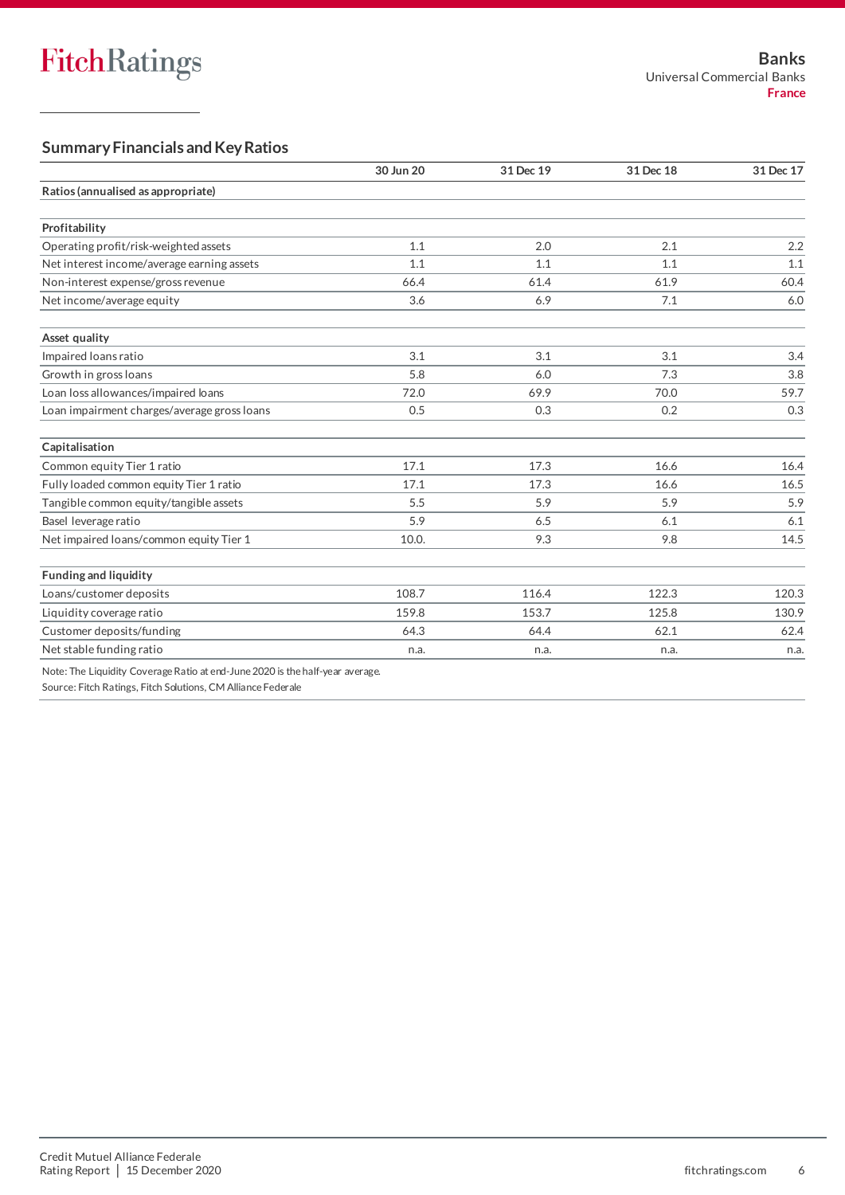# **Summary Financials and Key Ratios**

|                                                                               | 30 Jun 20 | 31 Dec 19 | 31 Dec 18 | 31 Dec 17 |
|-------------------------------------------------------------------------------|-----------|-----------|-----------|-----------|
| Ratios (annualised as appropriate)                                            |           |           |           |           |
|                                                                               |           |           |           |           |
| Profitability                                                                 |           |           |           |           |
| Operating profit/risk-weighted assets                                         | 1.1       | 2.0       | 2.1       | 2.2       |
| Net interest income/average earning assets                                    | 1.1       | 1.1       | 1.1       | 1.1       |
| Non-interest expense/gross revenue                                            | 66.4      | 61.4      | 61.9      | 60.4      |
| Net income/average equity                                                     | 3.6       | 6.9       | 7.1       | 6.0       |
| Asset quality                                                                 |           |           |           |           |
| Impaired Ioans ratio                                                          | 3.1       | 3.1       | 3.1       | 3.4       |
| Growth in gross loans                                                         | 5.8       | 6.0       | 7.3       | 3.8       |
| Loan loss allowances/impaired loans                                           | 72.0      | 69.9      | 70.0      | 59.7      |
| Loan impairment charges/average gross loans                                   | 0.5       | 0.3       | 0.2       | 0.3       |
| Capitalisation                                                                |           |           |           |           |
| Common equity Tier 1 ratio                                                    | 17.1      | 17.3      | 16.6      | 16.4      |
| Fully loaded common equity Tier 1 ratio                                       | 17.1      | 17.3      | 16.6      | 16.5      |
| Tangible common equity/tangible assets                                        | 5.5       | 5.9       | 5.9       | 5.9       |
| Basel leverage ratio                                                          | 5.9       | 6.5       | 6.1       | 6.1       |
| Net impaired loans/common equity Tier 1                                       | 10.0.     | 9.3       | 9.8       | 14.5      |
| <b>Funding and liquidity</b>                                                  |           |           |           |           |
| Loans/customer deposits                                                       | 108.7     | 116.4     | 122.3     | 120.3     |
| Liquidity coverage ratio                                                      | 159.8     | 153.7     | 125.8     | 130.9     |
| Customer deposits/funding                                                     | 64.3      | 64.4      | 62.1      | 62.4      |
| Net stable funding ratio                                                      | n.a.      | n.a.      | n.a.      | n.a.      |
| Note: The Liquidity Coverage Ratio at end-June 2020 is the half-year average. |           |           |           |           |

Source: Fitch Ratings, Fitch Solutions, CM Alliance Federale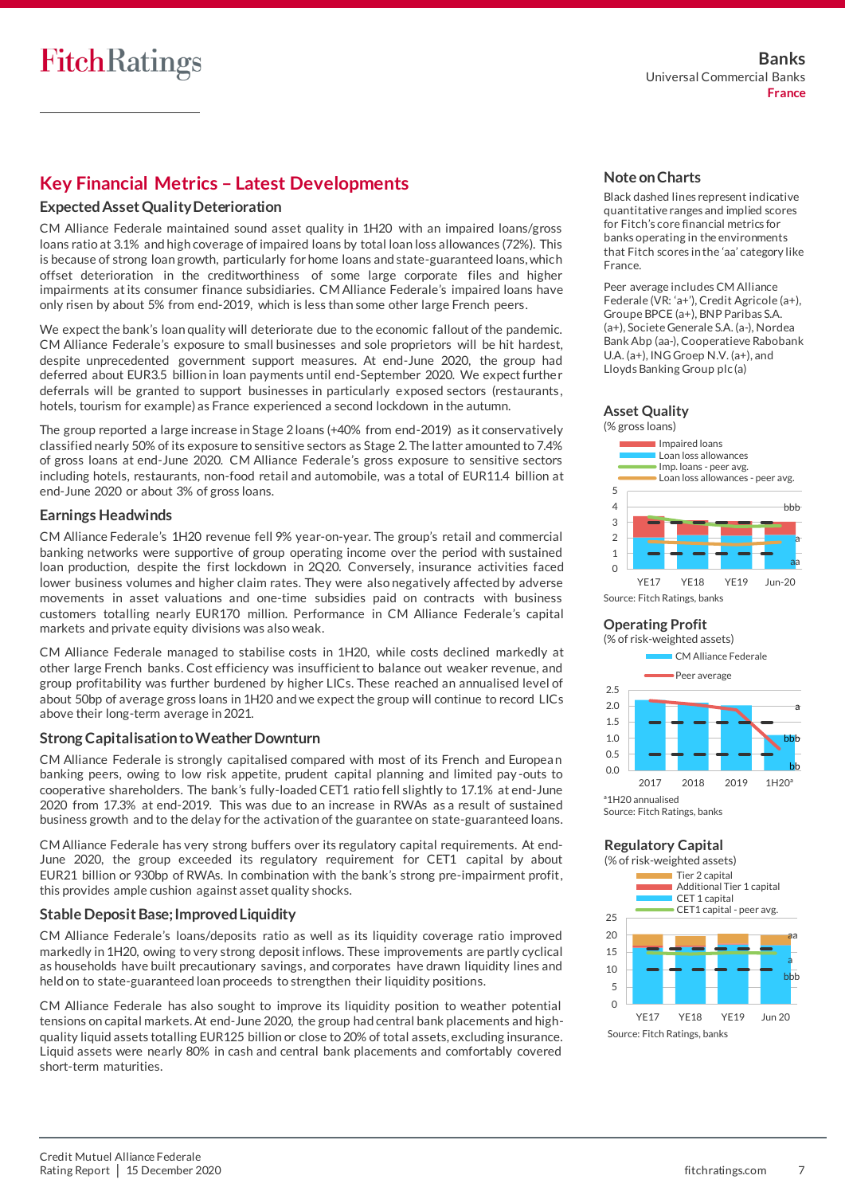# **Key Financial Metrics – Latest Developments**

## **Expected Asset Quality Deterioration**

CM Alliance Federale maintained sound asset quality in 1H20 with an impaired loans/gross loans ratio at 3.1% and high coverage of impaired loans by total loan loss allowances (72%). This is because of strong loan growth, particularly for home loans and state-guaranteed loans, which offset deterioration in the creditworthiness of some large corporate files and higher impairments at its consumer finance subsidiaries. CM Alliance Federale's impaired loans have only risen by about 5% from end-2019, which is less than some other large French peers.

We expect the bank's loan quality will deteriorate due to the economic fallout of the pandemic. CM Alliance Federale's exposure to small businesses and sole proprietors will be hit hardest, despite unprecedented government support measures. At end-June 2020, the group had deferred about EUR3.5 billion in loan payments until end-September 2020. We expect furthe r deferrals will be granted to support businesses in particularly exposed sectors (restaurants, hotels, tourism for example) as France experienced a second lockdown in the autumn.

The group reported a large increase in Stage 2 loans (+40% from end-2019) as it conservatively classified nearly 50% of its exposure to sensitive sectors as Stage 2. The latter amounted to 7.4% of gross loans at end-June 2020. CM Alliance Federale's gross exposure to sensitive sectors including hotels, restaurants, non-food retail and automobile, was a total of EUR11.4 billion at end-June 2020 or about 3% of gross loans.

#### **Earnings Headwinds**

CM Alliance Federale's 1H20 revenue fell 9% year-on-year. The group's retail and commercial banking networks were supportive of group operating income over the period with sustained loan production, despite the first lockdown in 2Q20. Conversely, insurance activities faced lower business volumes and higher claim rates. They were also negatively affected by adverse movements in asset valuations and one-time subsidies paid on contracts with business customers totalling nearly EUR170 million. Performance in CM Alliance Federale's capital markets and private equity divisions was also weak.

CM Alliance Federale managed to stabilise costs in 1H20, while costs declined markedly at other large French banks. Cost efficiency was insufficient to balance out weaker revenue, and group profitability was further burdened by higher LICs. These reached an annualised level of about 50bp of average gross loans in 1H20 and we expect the group will continue to record LICs above their long-term average in 2021.

## **Strong Capitalisation to Weather Downturn**

CM Alliance Federale is strongly capitalised compared with most of its French and Europea n banking peers, owing to low risk appetite, prudent capital planning and limited pay -outs to cooperative shareholders. The bank's fully-loaded CET1 ratio fell slightly to 17.1% at end-June 2020 from 17.3% at end-2019. This was due to an increase in RWAs as a result of sustained business growth and to the delay for the activation of the guarantee on state-guaranteed loans.

CM Alliance Federale has very strong buffers over its regulatory capital requirements. At end-June 2020, the group exceeded its regulatory requirement for CET1 capital by about EUR21 billion or 930bp of RWAs. In combination with the bank's strong pre-impairment profit, this provides ample cushion against asset quality shocks.

## **Stable Deposit Base; Improved Liquidity**

CM Alliance Federale's loans/deposits ratio as well as its liquidity coverage ratio improved markedly in 1H20, owing to very strong deposit inflows. These improvements are partly cyclical as households have built precautionary savings, and corporates have drawn liquidity lines and held on to state-guaranteed loan proceeds to strengthen their liquidity positions.

CM Alliance Federale has also sought to improve its liquidity position to weather potential tensions on capital markets. At end-June 2020, the group had central bank placements and highquality liquid assets totalling EUR125 billion or close to 20% of total assets, excluding insurance. Liquid assets were nearly 80% in cash and central bank placements and comfortably covered short-term maturities.

## **Note on Charts**

Black dashed lines represent indicative quantitative ranges and implied scores for Fitch's core financial metrics for banks operating in the environments that Fitch scores in the 'aa' category like France.

Peer average includes CM Alliance Federale (VR: 'a+'), Credit Agricole (a+), Groupe BPCE (a+), BNP Paribas S.A. (a+), Societe Generale S.A. (a-), Nordea Bank Abp (aa-), Cooperatieve Rabobank U.A. (a+), ING Groep N.V. (a+), and Lloyds Banking Group plc (a)

#### **Asset Quality** (% gross loans)





#### **Operating Profit**





## **Regulatory Capital**

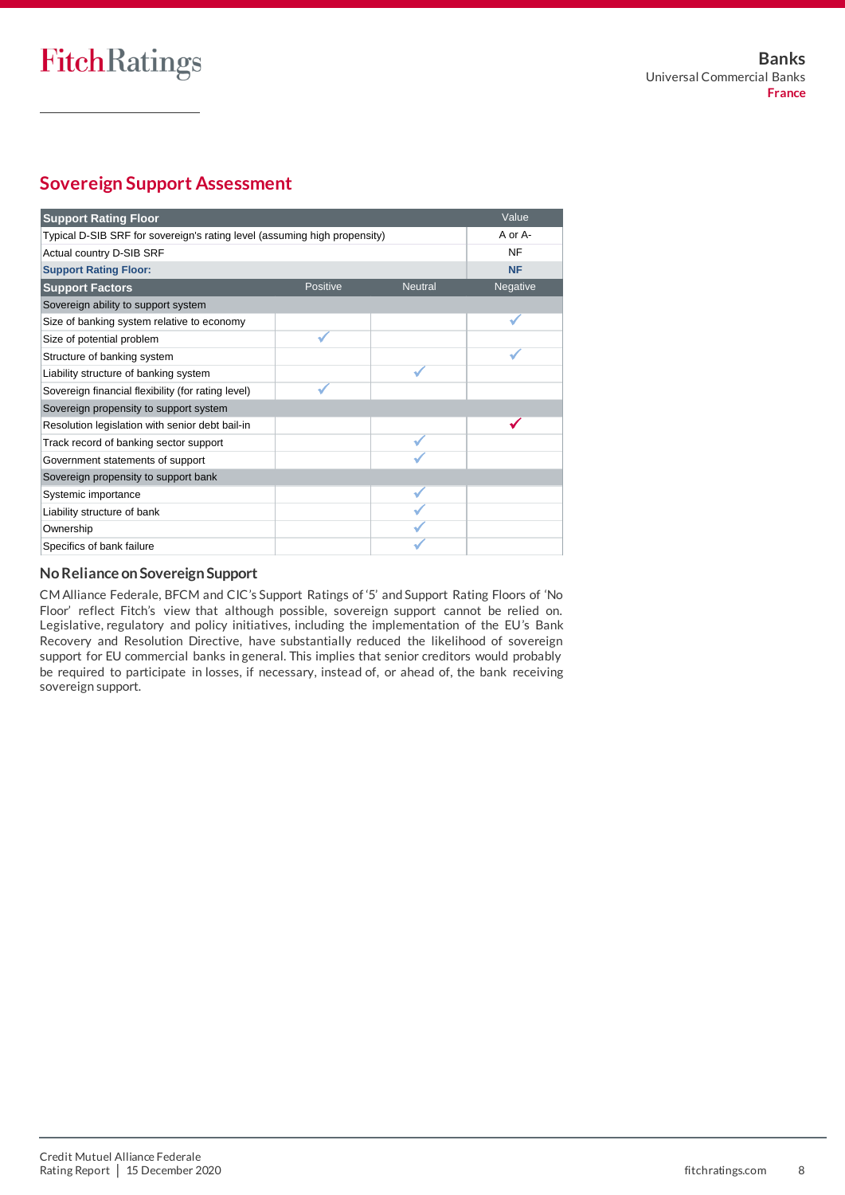# **Sovereign Support Assessment**

| <b>Support Rating Floor</b>                                               |                 |                | Value     |
|---------------------------------------------------------------------------|-----------------|----------------|-----------|
| Typical D-SIB SRF for sovereign's rating level (assuming high propensity) | A or A-         |                |           |
| Actual country D-SIB SRF                                                  |                 |                | <b>NF</b> |
| <b>Support Rating Floor:</b>                                              |                 |                | <b>NF</b> |
| <b>Support Factors</b>                                                    | <b>Positive</b> | <b>Neutral</b> | Negative  |
| Sovereign ability to support system                                       |                 |                |           |
| Size of banking system relative to economy                                |                 |                |           |
| Size of potential problem                                                 |                 |                |           |
| Structure of banking system                                               |                 |                |           |
| Liability structure of banking system                                     |                 |                |           |
| Sovereign financial flexibility (for rating level)                        |                 |                |           |
| Sovereign propensity to support system                                    |                 |                |           |
| Resolution legislation with senior debt bail-in                           |                 |                |           |
| Track record of banking sector support                                    |                 |                |           |
| Government statements of support                                          |                 |                |           |
| Sovereign propensity to support bank                                      |                 |                |           |
| Systemic importance                                                       |                 |                |           |
| Liability structure of bank                                               |                 |                |           |
| Ownership                                                                 |                 |                |           |
| Specifics of bank failure                                                 |                 |                |           |

# **No Reliance on Sovereign Support**

CM Alliance Federale, BFCM and CIC's Support Ratings of '5' and Support Rating Floors of 'No Floor' reflect Fitch's view that although possible, sovereign support cannot be relied on. Legislative, regulatory and policy initiatives, including the implementation of the EU's Bank Recovery and Resolution Directive, have substantially reduced the likelihood of sovereign support for EU commercial banks in general. This implies that senior creditors would probably be required to participate in losses, if necessary, instead of, or ahead of, the bank receiving sovereign support.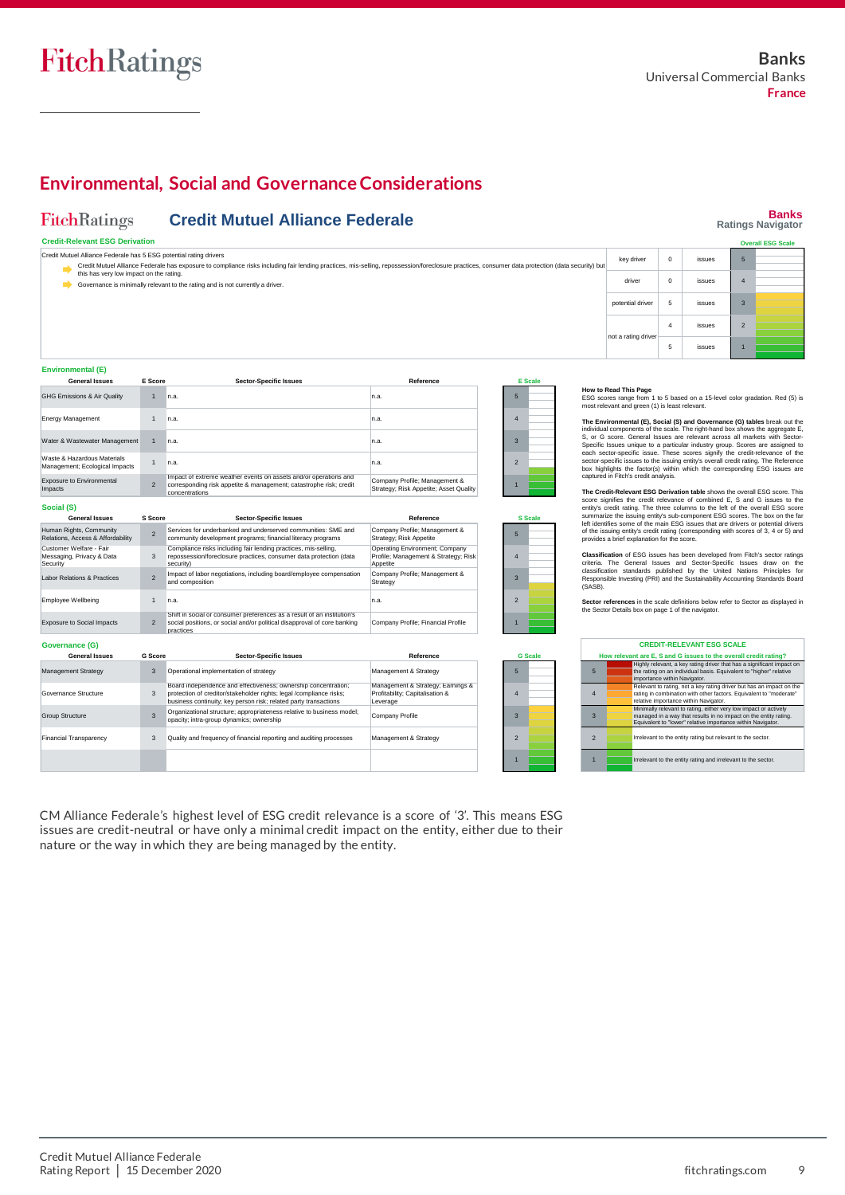**Credit-Relevant ESG Derivation**

FitchRatings

**Banks Ratings Navigator**

**Overall ESG Sc** 

# **Environmental, Social and Governance Considerations**

**Credit Mutuel Alliance Federale**

| Credit Mutuel Alliance Federale has 5 ESG potential rating drivers |                                                                                                                                                                                                                                             |                                                                                                                                                                                                           |                                                                                    |  |                 |                |                | key driver                                                                                                                                                                                                                                        | $\Omega$                     | issues                                                                                                                                                                                              | 5              |  |
|--------------------------------------------------------------------|---------------------------------------------------------------------------------------------------------------------------------------------------------------------------------------------------------------------------------------------|-----------------------------------------------------------------------------------------------------------------------------------------------------------------------------------------------------------|------------------------------------------------------------------------------------|--|-----------------|----------------|----------------|---------------------------------------------------------------------------------------------------------------------------------------------------------------------------------------------------------------------------------------------------|------------------------------|-----------------------------------------------------------------------------------------------------------------------------------------------------------------------------------------------------|----------------|--|
|                                                                    | Credit Mutuel Alliance Federale has exposure to compliance risks including fair lending practices, mis-selling, repossession/foreclosure practices, consumer data protection (data security) but<br>this has very low impact on the rating. |                                                                                                                                                                                                           |                                                                                    |  |                 |                |                |                                                                                                                                                                                                                                                   |                              |                                                                                                                                                                                                     |                |  |
|                                                                    |                                                                                                                                                                                                                                             | Governance is minimally relevant to the rating and is not currently a driver.                                                                                                                             |                                                                                    |  |                 |                |                | driver                                                                                                                                                                                                                                            | $^{\circ}$                   | issues                                                                                                                                                                                              | $\Delta$       |  |
|                                                                    |                                                                                                                                                                                                                                             |                                                                                                                                                                                                           |                                                                                    |  |                 |                |                | potential driver                                                                                                                                                                                                                                  | $\sqrt{5}$                   | <i>issues</i>                                                                                                                                                                                       | $\overline{3}$ |  |
|                                                                    |                                                                                                                                                                                                                                             |                                                                                                                                                                                                           |                                                                                    |  |                 |                |                | not a rating driver                                                                                                                                                                                                                               | $\Delta$                     | issues                                                                                                                                                                                              | $\overline{2}$ |  |
|                                                                    |                                                                                                                                                                                                                                             |                                                                                                                                                                                                           |                                                                                    |  |                 |                |                |                                                                                                                                                                                                                                                   | 5                            | issues                                                                                                                                                                                              |                |  |
| Environmental (E)                                                  |                                                                                                                                                                                                                                             |                                                                                                                                                                                                           |                                                                                    |  |                 |                |                |                                                                                                                                                                                                                                                   |                              |                                                                                                                                                                                                     |                |  |
| <b>General Issues</b>                                              | <b>E</b> Score                                                                                                                                                                                                                              | <b>Sector-Specific Issues</b>                                                                                                                                                                             | Reference                                                                          |  |                 | <b>E</b> Scale |                | How to Read This Page                                                                                                                                                                                                                             |                              |                                                                                                                                                                                                     |                |  |
| GHG Emissions & Air Quality                                        | 1                                                                                                                                                                                                                                           | In.a.                                                                                                                                                                                                     | n.a.                                                                               |  | 5               |                |                | ESG scores range from 1 to 5 based on a 15-level color gradation. Red (5) is<br>most relevant and green (1) is least relevant.                                                                                                                    |                              |                                                                                                                                                                                                     |                |  |
| <b>Energy Management</b>                                           | 1                                                                                                                                                                                                                                           | n.a.                                                                                                                                                                                                      | n.a.                                                                               |  | $\overline{4}$  |                |                | The Environmental (E), Social (S) and Governance (G) tables break out the<br>individual components of the scale. The right-hand box shows the aggregate E,                                                                                        |                              |                                                                                                                                                                                                     |                |  |
| Water & Wastewater Management                                      | 1                                                                                                                                                                                                                                           | In.a.                                                                                                                                                                                                     | n.a.                                                                               |  | $\mathbf{3}$    |                |                | S. or G score. General Issues are relevant across all markets with Sector-<br>Specific Issues unique to a particular industry group. Scores are assigned to                                                                                       |                              |                                                                                                                                                                                                     |                |  |
| Waste & Hazardous Materials<br>Management; Ecological Impacts      | 1                                                                                                                                                                                                                                           | n.a.                                                                                                                                                                                                      | n.a.                                                                               |  | $\overline{2}$  |                |                | each sector-specific issue. These scores signify the credit-relevance of the<br>sector-specific issues to the issuing entity's overall credit rating. The Reference<br>box highlights the factor(s) within which the corresponding ESG issues are |                              |                                                                                                                                                                                                     |                |  |
| Exposure to Environmental<br>Impacts                               | $\overline{2}$                                                                                                                                                                                                                              | Impact of extreme weather events on assets and/or operations and<br>corresponding risk appetite & management; catastrophe risk; credit<br>concentrations                                                  | Company Profile; Management &<br>Strategy; Risk Appetite; Asset Quality            |  |                 |                |                | captured in Fitch's credit analysis.<br>The Credit-Relevant ESG Derivation table shows the overall ESG score. This                                                                                                                                |                              |                                                                                                                                                                                                     |                |  |
| Social (S)                                                         |                                                                                                                                                                                                                                             |                                                                                                                                                                                                           |                                                                                    |  |                 |                |                | score signifies the credit relevance of combined E, S and G issues to the<br>entity's credit rating. The three columns to the left of the overall ESG score                                                                                       |                              |                                                                                                                                                                                                     |                |  |
| <b>General Issues</b>                                              | <b>S</b> Score                                                                                                                                                                                                                              | <b>Sector-Specific Issues</b>                                                                                                                                                                             | Reference                                                                          |  |                 | <b>S</b> Scale |                | summarize the issuing entity's sub-component ESG scores. The box on the far                                                                                                                                                                       |                              |                                                                                                                                                                                                     |                |  |
| Human Rights, Community<br>Relations, Access & Affordability       | $\overline{\phantom{0}}$                                                                                                                                                                                                                    | Services for underbanked and underserved communities: SME and<br>community development programs; financial literacy programs                                                                              | Company Profile; Management &<br>Strategy; Risk Appetite                           |  | 5               |                |                | left identifies some of the main ESG issues that are drivers or potential drivers<br>of the issuing entity's credit rating (corresponding with scores of 3, 4 or 5) and<br>provides a brief explanation for the score.                            |                              |                                                                                                                                                                                                     |                |  |
| Customer Welfare - Fair<br>Messaging, Privacy & Data<br>Security   | $\mathbf{3}$                                                                                                                                                                                                                                | Compliance risks including fair lending practices, mis-selling,<br>repossession/foreclosure practices, consumer data protection (data<br>security)                                                        | Operating Environment; Company<br>Profile; Management & Strategy; Risk<br>Appetite |  | $\overline{4}$  |                |                | Classification of ESG issues has been developed from Fitch's sector ratings<br>criteria. The General Issues and Sector-Specific Issues draw on the                                                                                                |                              |                                                                                                                                                                                                     |                |  |
| abor Relations & Practices                                         | $\overline{2}$                                                                                                                                                                                                                              | Impact of labor negotiations, including board/employee compensation<br>and composition                                                                                                                    | Company Profile; Management &<br>Strategy                                          |  | $\overline{3}$  |                | (SASB).        | classification standards published by the United Nations Principles for<br>Responsible Investing (PRI) and the Sustainability Accounting Standards Board                                                                                          |                              |                                                                                                                                                                                                     |                |  |
| Employee Wellbeing                                                 | 1                                                                                                                                                                                                                                           | n.a.                                                                                                                                                                                                      | n.a.                                                                               |  | $\overline{2}$  |                |                | Sector references in the scale definitions below refer to Sector as displayed in                                                                                                                                                                  |                              |                                                                                                                                                                                                     |                |  |
| <b>Exposure to Social Impacts</b>                                  | $\overline{2}$                                                                                                                                                                                                                              | Shift in social or consumer preferences as a result of an institution's<br>social positions, or social and/or political disapproval of core banking<br>practices                                          | Company Profile; Financial Profile                                                 |  |                 |                |                | the Sector Details box on page 1 of the navigator.                                                                                                                                                                                                |                              |                                                                                                                                                                                                     |                |  |
| Governance (G)                                                     |                                                                                                                                                                                                                                             |                                                                                                                                                                                                           |                                                                                    |  |                 |                |                |                                                                                                                                                                                                                                                   |                              | <b>CREDIT-RELEVANT ESG SCALE</b>                                                                                                                                                                    |                |  |
| <b>General Issues</b>                                              | <b>G</b> Score                                                                                                                                                                                                                              | <b>Sector-Specific Issues</b>                                                                                                                                                                             | Reference                                                                          |  |                 | <b>G</b> Scale |                | How relevant are E, S and G issues to the overall credit rating?                                                                                                                                                                                  |                              |                                                                                                                                                                                                     |                |  |
| Management Strategy                                                | $\mathbf{3}$                                                                                                                                                                                                                                | Operational implementation of strategy                                                                                                                                                                    | Management & Strategy                                                              |  | $5\overline{5}$ |                | $5 -$          |                                                                                                                                                                                                                                                   | importance within Navigator. | Highly relevant, a key rating driver that has a significant impact on<br>the rating on an individual basis. Equivalent to "higher" relative                                                         |                |  |
| Governance Structure                                               | 3                                                                                                                                                                                                                                           | Board independence and effectiveness; ownership concentration;<br>protection of creditor/stakeholder rights; legal /compliance risks;<br>business continuity; key person risk; related party transactions | Management & Strategy; Earnings &<br>Profitability; Capitalisation &<br>Leverage   |  | $\overline{4}$  |                | $\overline{4}$ |                                                                                                                                                                                                                                                   |                              | Relevant to rating, not a key rating driver but has an impact on the<br>rating in combination with other factors. Equivalent to "moderate"<br>relative importance within Navigator                  |                |  |
| <b>Group Structure</b>                                             | $\mathbf{3}$                                                                                                                                                                                                                                | Organizational structure; appropriateness relative to business model;<br>opacity; intra-group dynamics; ownership                                                                                         | Company Profile                                                                    |  | $\mathbf{3}$    |                | $\mathbf{3}$   |                                                                                                                                                                                                                                                   |                              | Minimally relevant to rating, either very low impact or actively<br>managed in a way that results in no impact on the entity rating.<br>Equivalent to "lower" relative importance within Navigator. |                |  |
| <b>Financial Transparency</b>                                      | 3                                                                                                                                                                                                                                           | Quality and frequency of financial reporting and auditing processes                                                                                                                                       | Management & Strategy                                                              |  | $\overline{2}$  |                | $\overline{2}$ |                                                                                                                                                                                                                                                   |                              | Irrelevant to the entity rating but relevant to the sector.                                                                                                                                         |                |  |

1

CM Alliance Federale's highest level of ESG credit relevance is a score of '3'. This means ESG issues are credit-neutral or have only a minimal credit impact on the entity, either due to their nature or the way in which they are being managed by the entity.

1 **If Irrelevant to the entity rating and irrelevant to the sector.**